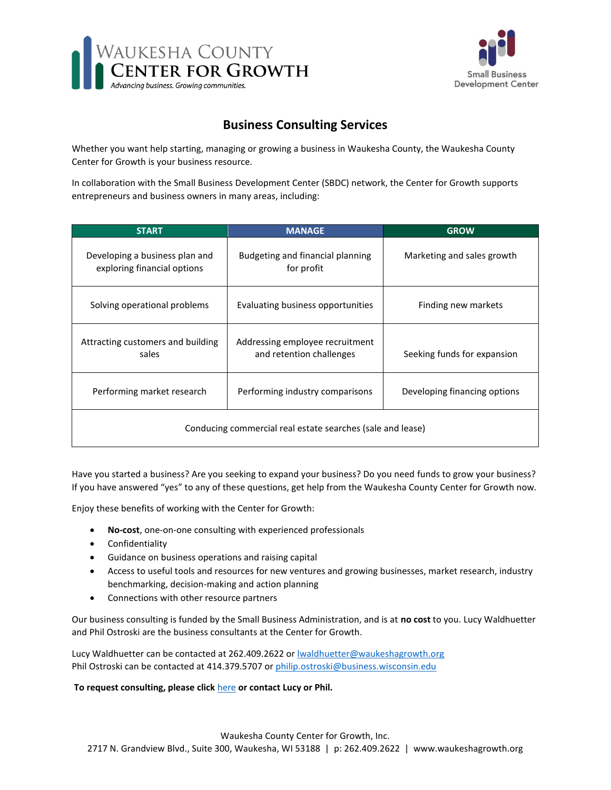



## **Business Consulting Services**

Whether you want help starting, managing or growing a business in Waukesha County, the Waukesha County Center for Growth is your business resource.

In collaboration with the Small Business Development Center (SBDC) network, the Center for Growth supports entrepreneurs and business owners in many areas, including:

| <b>START</b>                                                  | <b>MANAGE</b>                                               | <b>GROW</b>                  |
|---------------------------------------------------------------|-------------------------------------------------------------|------------------------------|
| Developing a business plan and<br>exploring financial options | Budgeting and financial planning<br>for profit              | Marketing and sales growth   |
| Solving operational problems                                  | Evaluating business opportunities                           | Finding new markets          |
| Attracting customers and building<br>sales                    | Addressing employee recruitment<br>and retention challenges | Seeking funds for expansion  |
| Performing market research                                    | Performing industry comparisons                             | Developing financing options |
| Conducing commercial real estate searches (sale and lease)    |                                                             |                              |

Have you started a business? Are you seeking to expand your business? Do you need funds to grow your business? If you have answered "yes" to any of these questions, get help from the Waukesha County Center for Growth now.

Enjoy these benefits of working with the Center for Growth:

- **No-cost**, one-on-one consulting with experienced professionals
- Confidentiality
- Guidance on business operations and raising capital
- Access to useful tools and resources for new ventures and growing businesses, market research, industry benchmarking, decision-making and action planning
- Connections with other resource partners

Our business consulting is funded by the Small Business Administration, and is at **no cost** to you. Lucy Waldhuetter and Phil Ostroski are the business consultants at the Center for Growth.

Lucy Waldhuetter can be contacted at 262.409.2622 or **Iwaldhuetter@waukeshagrowth.org** Phil Ostroski can be contacted at 414.379.5707 or [philip.ostroski@business.wisconsin.edu](mailto:philip.ostroski@business.wisconsin.edu)

**To request consulting, please click** [here](https://centerex.wisconsinsbdc.org/reg.aspx?mode=counsel¢er=52033&subloc=0) **or contact Lucy or Phil.**